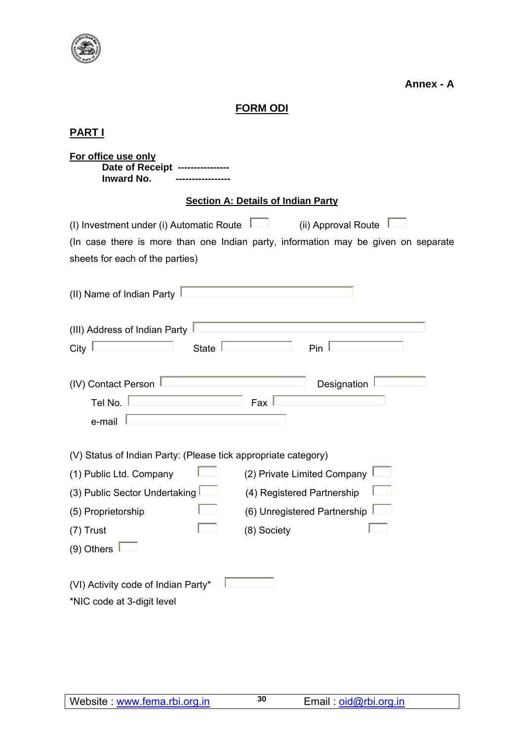

**Annex - A** 

# **FORM ODI**

# **PART I**

| For office use only<br>Date of Receipt ---------<br><b>Inward No.</b>                                                                                                                    |  |  |  |  |
|------------------------------------------------------------------------------------------------------------------------------------------------------------------------------------------|--|--|--|--|
| <b>Section A: Details of Indian Party</b>                                                                                                                                                |  |  |  |  |
| (I) Investment under (i) Automatic Route<br>(ii) Approval Route<br>(In case there is more than one Indian party, information may be given on separate<br>sheets for each of the parties) |  |  |  |  |
| (II) Name of Indian Party                                                                                                                                                                |  |  |  |  |
| (III) Address of Indian Party<br>City<br><b>State</b><br>Pin                                                                                                                             |  |  |  |  |
| (IV) Contact Person<br>Designation<br>Tel No.<br>Fax<br>e-mail                                                                                                                           |  |  |  |  |
| (V) Status of Indian Party: (Please tick appropriate category)                                                                                                                           |  |  |  |  |
| (2) Private Limited Company<br>(1) Public Ltd. Company                                                                                                                                   |  |  |  |  |
| (3) Public Sector Undertaking<br>(4) Registered Partnership                                                                                                                              |  |  |  |  |
| (6) Unregistered Partnership<br>(5) Proprietorship                                                                                                                                       |  |  |  |  |
| (8) Society<br>$(7)$ Trust                                                                                                                                                               |  |  |  |  |
| $(9)$ Others $\parallel$                                                                                                                                                                 |  |  |  |  |
| (VI) Activity code of Indian Party*<br>*NIC code at 3-digit level                                                                                                                        |  |  |  |  |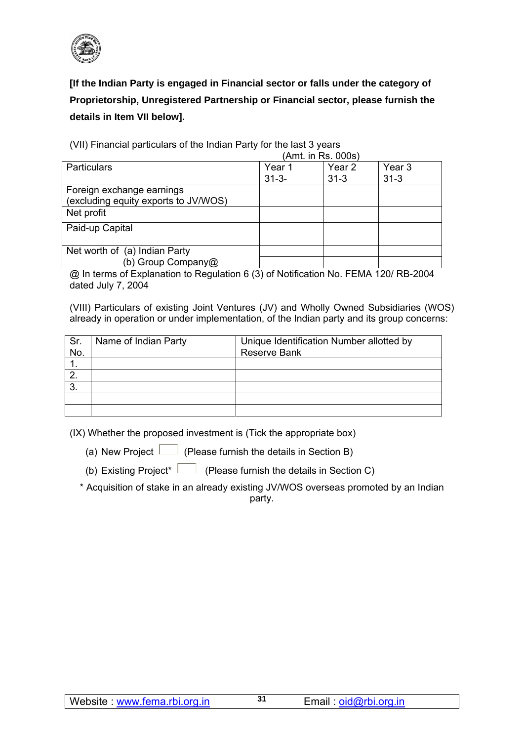

**[If the Indian Party is engaged in Financial sector or falls under the category of Proprietorship, Unregistered Partnership or Financial sector, please furnish the details in Item VII below].** 

(VII) Financial particulars of the Indian Party for the last 3 years  $(Amt)$  in  $Pa$ ,  $000s$ )

|                                      | (AIIII. III RS. UUUS) |                   |                   |
|--------------------------------------|-----------------------|-------------------|-------------------|
| Particulars                          | Year 1                | Year <sub>2</sub> | Year <sub>3</sub> |
|                                      | $31 - 3 -$            | $31 - 3$          | $31 - 3$          |
| Foreign exchange earnings            |                       |                   |                   |
| (excluding equity exports to JV/WOS) |                       |                   |                   |
| Net profit                           |                       |                   |                   |
| Paid-up Capital                      |                       |                   |                   |
|                                      |                       |                   |                   |
| Net worth of (a) Indian Party        |                       |                   |                   |
| (b) Group Company@                   |                       |                   |                   |

@ In terms of Explanation to Regulation 6 (3) of Notification No. FEMA 120/ RB-2004 dated July 7, 2004

(VIII) Particulars of existing Joint Ventures (JV) and Wholly Owned Subsidiaries (WOS) already in operation or under implementation, of the Indian party and its group concerns:

| Sr.<br>No. | Name of Indian Party | Unique Identification Number allotted by<br><b>Reserve Bank</b> |
|------------|----------------------|-----------------------------------------------------------------|
|            |                      |                                                                 |
| 2.         |                      |                                                                 |
| 3.         |                      |                                                                 |
|            |                      |                                                                 |
|            |                      |                                                                 |

(IX) Whether the proposed investment is (Tick the appropriate box)

(a) New Project  $\Box$  (Please furnish the details in Section B)

(b) Existing Project\* (Please furnish the details in Section C)

\* Acquisition of stake in an already existing JV/WOS overseas promoted by an Indian party.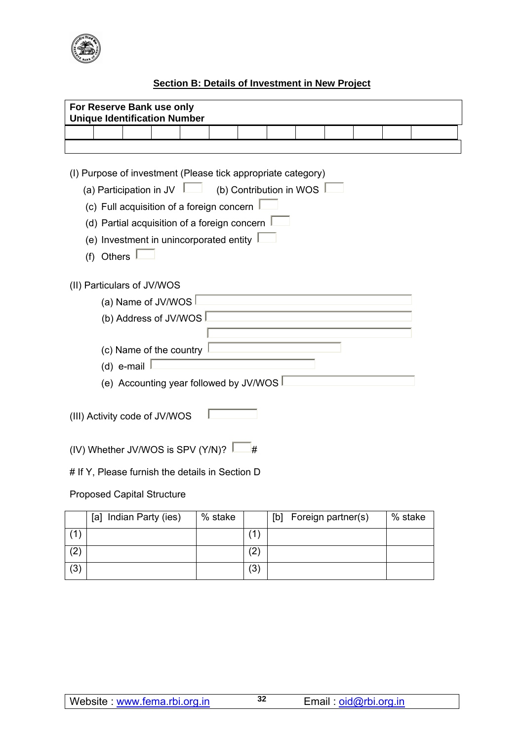

## **Section B: Details of Investment in New Project**

|                                                 | For Reserve Bank use only<br><b>Unique Identification Number</b>                                                                                                                                                                                                                                                |                       |  |  |         |     |     |                    |  |         |  |
|-------------------------------------------------|-----------------------------------------------------------------------------------------------------------------------------------------------------------------------------------------------------------------------------------------------------------------------------------------------------------------|-----------------------|--|--|---------|-----|-----|--------------------|--|---------|--|
|                                                 |                                                                                                                                                                                                                                                                                                                 |                       |  |  |         |     |     |                    |  |         |  |
|                                                 |                                                                                                                                                                                                                                                                                                                 |                       |  |  |         |     |     |                    |  |         |  |
|                                                 | (I) Purpose of investment (Please tick appropriate category)<br>(a) Participation in JV $\Box$ (b) Contribution in WOS $\Box$<br>(c) Full acquisition of a foreign concern<br>(d) Partial acquisition of a foreign concern $\frac{1}{2}$<br>(e) Investment in unincorporated entity $\frac{1}{2}$<br>(f) Others |                       |  |  |         |     |     |                    |  |         |  |
|                                                 | (II) Particulars of JV/WOS                                                                                                                                                                                                                                                                                      |                       |  |  |         |     |     |                    |  |         |  |
|                                                 |                                                                                                                                                                                                                                                                                                                 | (a) Name of JV/WOS    |  |  |         |     |     |                    |  |         |  |
|                                                 |                                                                                                                                                                                                                                                                                                                 | (b) Address of JV/WOS |  |  |         |     |     |                    |  |         |  |
|                                                 | (c) Name of the country<br>(d) e-mail<br>(e) Accounting year followed by JV/WOS                                                                                                                                                                                                                                 |                       |  |  |         |     |     |                    |  |         |  |
|                                                 | (III) Activity code of JV/WOS                                                                                                                                                                                                                                                                                   |                       |  |  |         |     |     |                    |  |         |  |
| (IV) Whether JV/WOS is SPV (Y/N)?<br>₩          |                                                                                                                                                                                                                                                                                                                 |                       |  |  |         |     |     |                    |  |         |  |
| # If Y, Please furnish the details in Section D |                                                                                                                                                                                                                                                                                                                 |                       |  |  |         |     |     |                    |  |         |  |
| <b>Proposed Capital Structure</b>               |                                                                                                                                                                                                                                                                                                                 |                       |  |  |         |     |     |                    |  |         |  |
|                                                 | [a] Indian Party (ies)                                                                                                                                                                                                                                                                                          |                       |  |  | % stake |     | [b] | Foreign partner(s) |  | % stake |  |
| (1)                                             |                                                                                                                                                                                                                                                                                                                 |                       |  |  |         | (1) |     |                    |  |         |  |

 $(2)$   $(2)$  $(3)$   $(3)$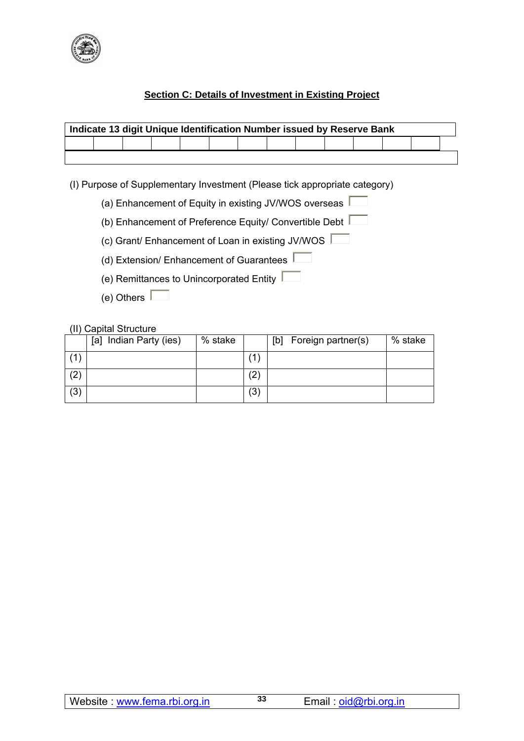

## **Section C: Details of Investment in Existing Project**

| Indicate 13 digit Unique Identification Number issued by Reserve Bank |  |  |  |  |  |  |  |  |  |  |  |
|-----------------------------------------------------------------------|--|--|--|--|--|--|--|--|--|--|--|
|                                                                       |  |  |  |  |  |  |  |  |  |  |  |
|                                                                       |  |  |  |  |  |  |  |  |  |  |  |

(I) Purpose of Supplementary Investment (Please tick appropriate category)

- (a) Enhancement of Equity in existing JV/WOS overseas  $\sqrt{ }$
- (b) Enhancement of Preference Equity/ Convertible Debt  $\Box$
- (c) Grant/ Enhancement of Loan in existing JV/WOS
- (d) Extension/ Enhancement of Guarantees
- (e) Remittances to Unincorporated Entity
- (e) Others  $\Box$

#### (II) Capital Structure

|     | Indian Party (ies)<br> a | % stake |                   | Foreign partner(s)<br>[b] | % stake |
|-----|--------------------------|---------|-------------------|---------------------------|---------|
|     |                          |         | 1                 |                           |         |
| (2) |                          |         | $\left( 2\right)$ |                           |         |
| (3) |                          |         | (3)               |                           |         |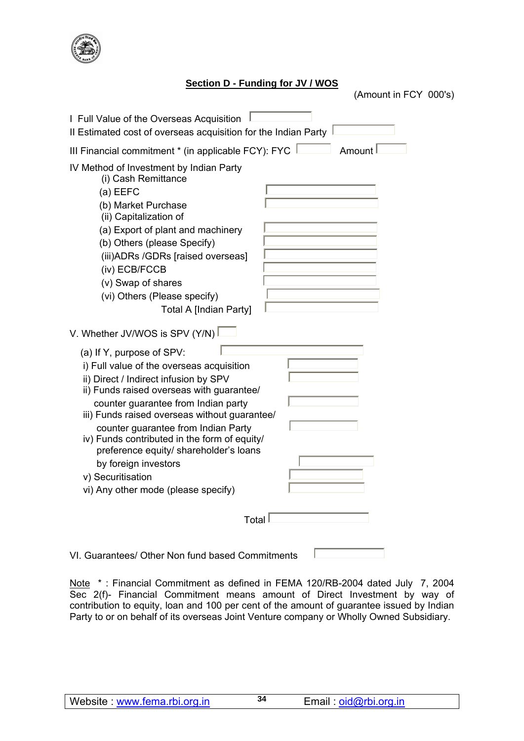

### **Section D - Funding for JV / WOS**

(Amount in FCY 000's)

| I Full Value of the Overseas Acquisition<br>Il Estimated cost of overseas acquisition for the Indian Party                                                                                                                                                                                                                                                                                                                                                                |
|---------------------------------------------------------------------------------------------------------------------------------------------------------------------------------------------------------------------------------------------------------------------------------------------------------------------------------------------------------------------------------------------------------------------------------------------------------------------------|
| III Financial commitment * (in applicable FCY): FYC<br>Amount                                                                                                                                                                                                                                                                                                                                                                                                             |
| IV Method of Investment by Indian Party<br>(i) Cash Remittance<br>$(a)$ EEFC<br>(b) Market Purchase<br>(ii) Capitalization of<br>(a) Export of plant and machinery<br>(b) Others (please Specify)<br>(iii) ADRs / GDRs [raised overseas]<br>(iv) ECB/FCCB<br>(v) Swap of shares<br>(vi) Others (Please specify)<br><b>Total A [Indian Party]</b>                                                                                                                          |
| V. Whether JV/WOS is SPV (Y/N)                                                                                                                                                                                                                                                                                                                                                                                                                                            |
| (a) If Y, purpose of SPV:<br>i) Full value of the overseas acquisition<br>ii) Direct / Indirect infusion by SPV<br>ii) Funds raised overseas with guarantee/<br>counter guarantee from Indian party<br>iii) Funds raised overseas without guarantee/<br>counter guarantee from Indian Party<br>iv) Funds contributed in the form of equity/<br>preference equity/ shareholder's loans<br>by foreign investors<br>v) Securitisation<br>vi) Any other mode (please specify) |
| Total                                                                                                                                                                                                                                                                                                                                                                                                                                                                     |
| VI. Guarantees/ Other Non fund based Commitments                                                                                                                                                                                                                                                                                                                                                                                                                          |

Note \* : Financial Commitment as defined in FEMA 120/RB-2004 dated July 7, 2004 Sec 2(f)- Financial Commitment means amount of Direct Investment by way of contribution to equity, loan and 100 per cent of the amount of guarantee issued by Indian Party to or on behalf of its overseas Joint Venture company or Wholly Owned Subsidiary.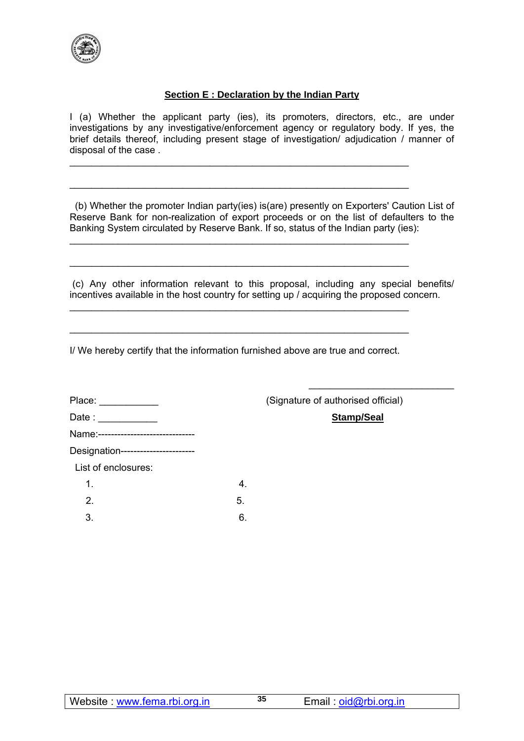

#### **Section E : Declaration by the Indian Party**

I (a) Whether the applicant party (ies), its promoters, directors, etc., are under investigations by any investigative/enforcement agency or regulatory body. If yes, the brief details thereof, including present stage of investigation/ adjudication / manner of disposal of the case .

\_\_\_\_\_\_\_\_\_\_\_\_\_\_\_\_\_\_\_\_\_\_\_\_\_\_\_\_\_\_\_\_\_\_\_\_\_\_\_\_\_\_\_\_\_\_\_\_\_\_\_\_\_\_\_\_\_\_\_\_\_\_\_

\_\_\_\_\_\_\_\_\_\_\_\_\_\_\_\_\_\_\_\_\_\_\_\_\_\_\_\_\_\_\_\_\_\_\_\_\_\_\_\_\_\_\_\_\_\_\_\_\_\_\_\_\_\_\_\_\_\_\_\_\_\_\_

\_\_\_\_\_\_\_\_\_\_\_\_\_\_\_\_\_\_\_\_\_\_\_\_\_\_\_\_\_\_\_\_\_\_\_\_\_\_\_\_\_\_\_\_\_\_\_\_\_\_\_\_\_\_\_\_\_\_\_\_\_\_\_

\_\_\_\_\_\_\_\_\_\_\_\_\_\_\_\_\_\_\_\_\_\_\_\_\_\_\_\_\_\_\_\_\_\_\_\_\_\_\_\_\_\_\_\_\_\_\_\_\_\_\_\_\_\_\_\_\_\_\_\_\_\_\_

\_\_\_\_\_\_\_\_\_\_\_\_\_\_\_\_\_\_\_\_\_\_\_\_\_\_\_\_\_\_\_\_\_\_\_\_\_\_\_\_\_\_\_\_\_\_\_\_\_\_\_\_\_\_\_\_\_\_\_\_\_\_\_

\_\_\_\_\_\_\_\_\_\_\_\_\_\_\_\_\_\_\_\_\_\_\_\_\_\_\_\_\_\_\_\_\_\_\_\_\_\_\_\_\_\_\_\_\_\_\_\_\_\_\_\_\_\_\_\_\_\_\_\_\_\_\_

 (b) Whether the promoter Indian party(ies) is(are) presently on Exporters' Caution List of Reserve Bank for non-realization of export proceeds or on the list of defaulters to the Banking System circulated by Reserve Bank. If so, status of the Indian party (ies):

 (c) Any other information relevant to this proposal, including any special benefits/ incentives available in the host country for setting up / acquiring the proposed concern.

I/ We hereby certify that the information furnished above are true and correct.

| Place: ___________                  |   |
|-------------------------------------|---|
| Date : ____________                 |   |
| Name:------------------------------ |   |
| Designation-----------------------  |   |
| List of enclosures:                 |   |
| 1.                                  |   |
| $\mathcal{P}$                       | 5 |
|                                     |   |

 $3.$  6.

(Signature of authorised official)

Stamp/Seal

 $\mathcal{L}_\text{max}$  , and the set of the set of the set of the set of the set of the set of the set of the set of the set of the set of the set of the set of the set of the set of the set of the set of the set of the set of the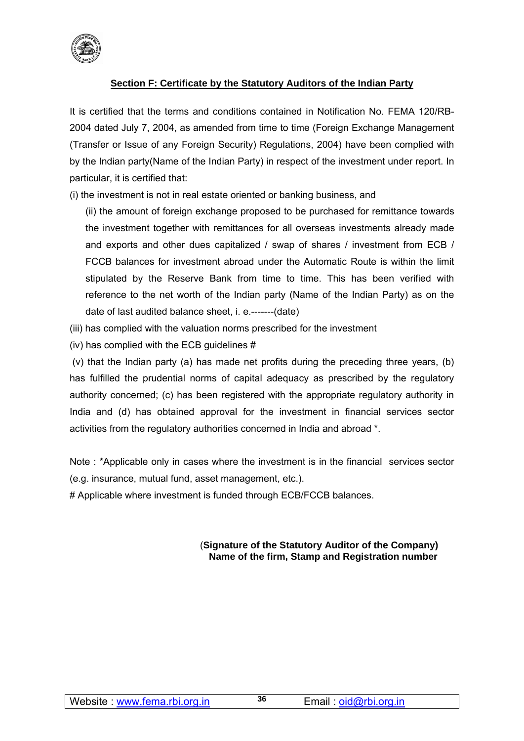

## **Section F: Certificate by the Statutory Auditors of the Indian Party**

It is certified that the terms and conditions contained in Notification No. FEMA 120/RB-2004 dated July 7, 2004, as amended from time to time (Foreign Exchange Management (Transfer or Issue of any Foreign Security) Regulations, 2004) have been complied with by the Indian party(Name of the Indian Party) in respect of the investment under report. In particular, it is certified that:

(i) the investment is not in real estate oriented or banking business, and

(ii) the amount of foreign exchange proposed to be purchased for remittance towards the investment together with remittances for all overseas investments already made and exports and other dues capitalized / swap of shares / investment from ECB / FCCB balances for investment abroad under the Automatic Route is within the limit stipulated by the Reserve Bank from time to time. This has been verified with reference to the net worth of the Indian party (Name of the Indian Party) as on the date of last audited balance sheet, i. e.-------(date)

- (iii) has complied with the valuation norms prescribed for the investment
- (iv) has complied with the ECB guidelines #

 (v) that the Indian party (a) has made net profits during the preceding three years, (b) has fulfilled the prudential norms of capital adequacy as prescribed by the regulatory authority concerned; (c) has been registered with the appropriate regulatory authority in India and (d) has obtained approval for the investment in financial services sector activities from the regulatory authorities concerned in India and abroad \*.

Note : \*Applicable only in cases where the investment is in the financial services sector (e.g. insurance, mutual fund, asset management, etc.).

# Applicable where investment is funded through ECB/FCCB balances.

#### (**Signature of the Statutory Auditor of the Company) Name of the firm, Stamp and Registration number**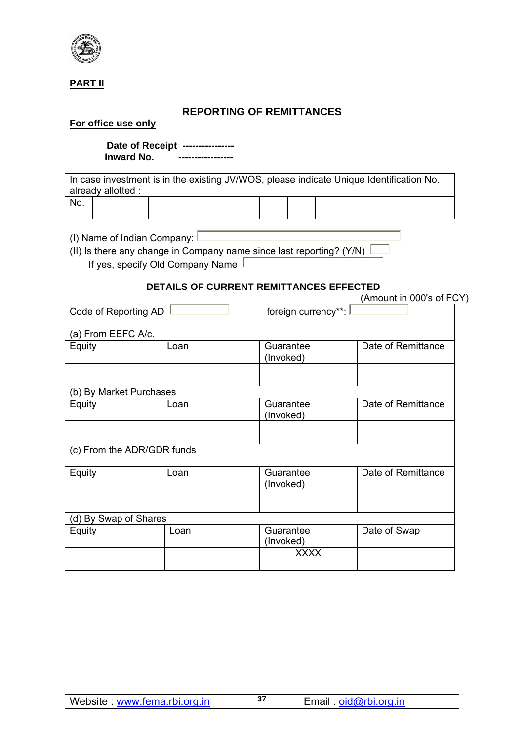

## **PART II**

## **REPORTING OF REMITTANCES**

#### **For office use only**

 **Date of Receipt ---------------- Inward No. -----------------** 

In case investment is in the existing JV/WOS, please indicate Unique Identification No. already allotted : No.

(I) Name of Indian Company:  $\square$ 

(II) Is there any change in Company name since last reporting? (Y/N)  $\sqrt{\frac{1}{1}}$ If yes, specify Old Company Name  $\Box$ 

## **DETAILS OF CURRENT REMITTANCES EFFECTED**

|                            |      | DETAILS OF CORRENT REMITTANCES EFFECTED | (Amount in 000's of FCY) |
|----------------------------|------|-----------------------------------------|--------------------------|
| Code of Reporting AD       |      | foreign currency**:                     |                          |
| (a) From EEFC A/c.         |      |                                         |                          |
| Equity                     | Loan | Guarantee<br>(Invoked)                  | Date of Remittance       |
|                            |      |                                         |                          |
| (b) By Market Purchases    |      |                                         |                          |
| Equity                     | Loan | Guarantee<br>(Invoked)                  | Date of Remittance       |
|                            |      |                                         |                          |
| (c) From the ADR/GDR funds |      |                                         |                          |
| Equity                     | Loan | Guarantee<br>(Invoked)                  | Date of Remittance       |
|                            |      |                                         |                          |
| (d) By Swap of Shares      |      |                                         |                          |
| Equity                     | Loan | Guarantee<br>(Invoked)                  | Date of Swap             |
|                            |      | <b>XXXX</b>                             |                          |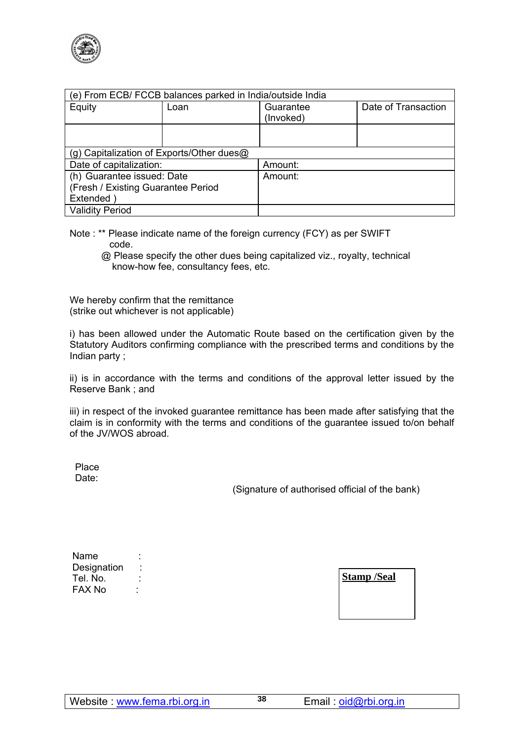

| (e) From ECB/ FCCB balances parked in India/outside India |      |                                  |  |  |  |  |
|-----------------------------------------------------------|------|----------------------------------|--|--|--|--|
| Equity                                                    | Loan | Date of Transaction<br>Guarantee |  |  |  |  |
|                                                           |      | (Invoked)                        |  |  |  |  |
|                                                           |      |                                  |  |  |  |  |
|                                                           |      |                                  |  |  |  |  |
| (g) Capitalization of Exports/Other dues@                 |      |                                  |  |  |  |  |
| Date of capitalization:                                   |      | Amount:                          |  |  |  |  |
| (h) Guarantee issued: Date                                |      | Amount:                          |  |  |  |  |
| (Fresh / Existing Guarantee Period                        |      |                                  |  |  |  |  |
| Extended                                                  |      |                                  |  |  |  |  |
| <b>Validity Period</b>                                    |      |                                  |  |  |  |  |

- Note : \*\* Please indicate name of the foreign currency (FCY) as per SWIFT code.
	- @ Please specify the other dues being capitalized viz., royalty, technical know-how fee, consultancy fees, etc.

We hereby confirm that the remittance (strike out whichever is not applicable)

i) has been allowed under the Automatic Route based on the certification given by the Statutory Auditors confirming compliance with the prescribed terms and conditions by the Indian party ;

ii) is in accordance with the terms and conditions of the approval letter issued by the Reserve Bank ; and

iii) in respect of the invoked guarantee remittance has been made after satisfying that the claim is in conformity with the terms and conditions of the guarantee issued to/on behalf of the JV/WOS abroad.

 Place Date:

(Signature of authorised official of the bank)

| Name        |  |
|-------------|--|
| Designation |  |
| Tel. No.    |  |
| FAX No      |  |

**Stamp /Seal**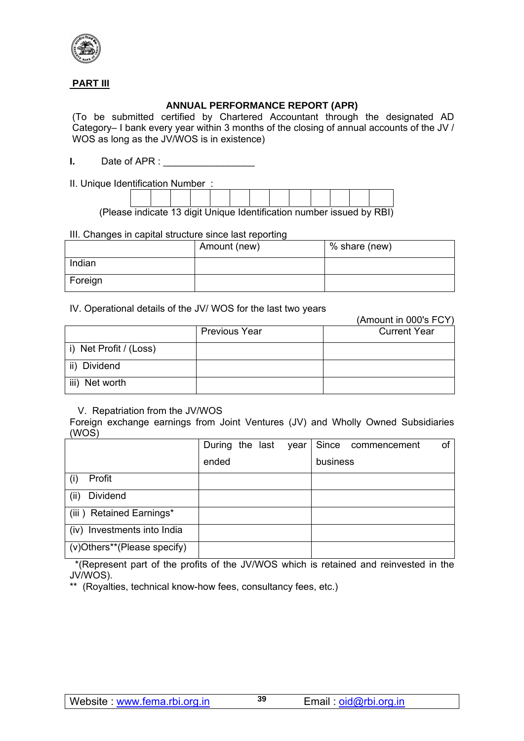

## **PART III**

## **ANNUAL PERFORMANCE REPORT (APR)**

(To be submitted certified by Chartered Accountant through the designated AD Category– I bank every year within 3 months of the closing of annual accounts of the JV / WOS as long as the JV/WOS is in existence)

**I.** Date of APR :

II. Unique Identification Number :

(Please indicate 13 digit Unique Identification number issued by RBI)

#### III. Changes in capital structure since last reporting

|         | Amount (new) | % share (new) |
|---------|--------------|---------------|
| Indian  |              |               |
| Foreign |              |               |

#### IV. Operational details of the JV/ WOS for the last two years

|                        |                      | (AMOUNT IN UUU'S FUY) |
|------------------------|----------------------|-----------------------|
|                        | <b>Previous Year</b> | <b>Current Year</b>   |
| i) Net Profit / (Loss) |                      |                       |
| ii) Dividend           |                      |                       |
| iii) Net worth         |                      |                       |

#### V. Repatriation from the JV/WOS

Foreign exchange earnings from Joint Ventures (JV) and Wholly Owned Subsidiaries (WOS)

|                                | During the last |  | year |          | Since commencement | of |
|--------------------------------|-----------------|--|------|----------|--------------------|----|
|                                | ended           |  |      | business |                    |    |
| Profit                         |                 |  |      |          |                    |    |
| (ii)<br>Dividend               |                 |  |      |          |                    |    |
| (iii) Retained Earnings*       |                 |  |      |          |                    |    |
| Investments into India<br>(iv) |                 |  |      |          |                    |    |
| (v)Others**(Please specify)    |                 |  |      |          |                    |    |

 \*(Represent part of the profits of the JV/WOS which is retained and reinvested in the JV/WOS).

\*\* (Royalties, technical know-how fees, consultancy fees, etc.)

 $(1 - 0.001)$  FOY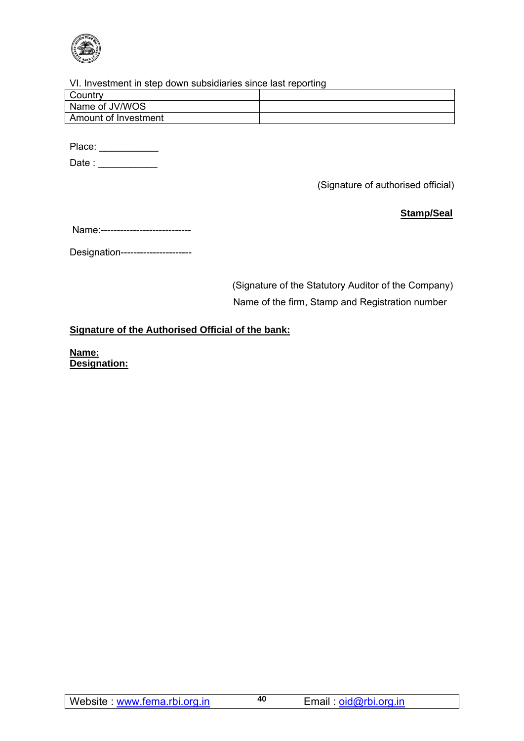

#### VI. Investment in step down subsidiaries since last reporting

| Country              |  |
|----------------------|--|
| Name of JV/WOS       |  |
| Amount of Investment |  |
|                      |  |

Place: \_\_\_\_\_\_\_\_\_\_\_\_\_

Date : \_\_\_\_\_\_\_\_\_\_\_\_

(Signature of authorised official)

**Stamp/Seal**

Designation----------------------

 (Signature of the Statutory Auditor of the Company) Name of the firm, Stamp and Registration number

## **Signature of the Authorised Official of the bank:**

**Name: Designation:**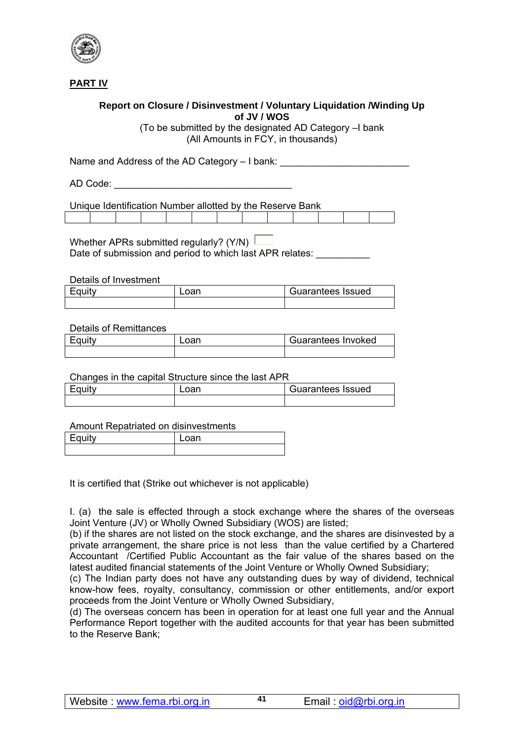

**PART IV**

### **Report on Closure / Disinvestment / Voluntary Liquidation /Winding Up of JV / WOS**

(To be submitted by the designated AD Category –I bank (All Amounts in FCY, in thousands)

Name and Address of the AD Category – I bank:

AD Code:  $\blacksquare$ 

Unique Identification Number allotted by the Reserve Bank

Whether APRs submitted regularly? (Y/N) Date of submission and period to which last APR relates:

Details of Investment

| Equity | Guarantees Issued |
|--------|-------------------|
|        |                   |

#### Details of Remittances

| Equity | Loan | Guarantees Invoked |
|--------|------|--------------------|
|        |      |                    |

#### Changes in the capital Structure since the last APR

| Fauity | oan | Guarantees Issued |
|--------|-----|-------------------|
|        |     |                   |

#### Amount Repatriated on disinvestments

| <b>Contract Contract Contract</b> | $\overline{\phantom{a}}$ |
|-----------------------------------|--------------------------|
|                                   |                          |

It is certified that (Strike out whichever is not applicable)

I. (a) the sale is effected through a stock exchange where the shares of the overseas Joint Venture (JV) or Wholly Owned Subsidiary (WOS) are listed;

(b) if the shares are not listed on the stock exchange, and the shares are disinvested by a private arrangement, the share price is not less than the value certified by a Chartered Accountant /Certified Public Accountant as the fair value of the shares based on the latest audited financial statements of the Joint Venture or Wholly Owned Subsidiary;

(c) The Indian party does not have any outstanding dues by way of dividend, technical know-how fees, royalty, consultancy, commission or other entitlements, and/or export proceeds from the Joint Venture or Wholly Owned Subsidiary,

(d) The overseas concern has been in operation for at least one full year and the Annual Performance Report together with the audited accounts for that year has been submitted to the Reserve Bank;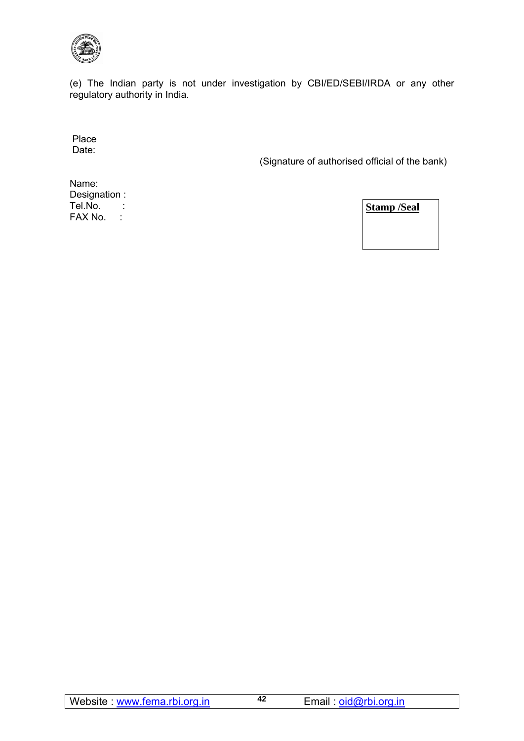

(e) The Indian party is not under investigation by CBI/ED/SEBI/IRDA or any other regulatory authority in India.

 Place Date:

(Signature of authorised official of the bank)

Name: Designation : Tel.No. : FAX No. :

**Stamp /Seal**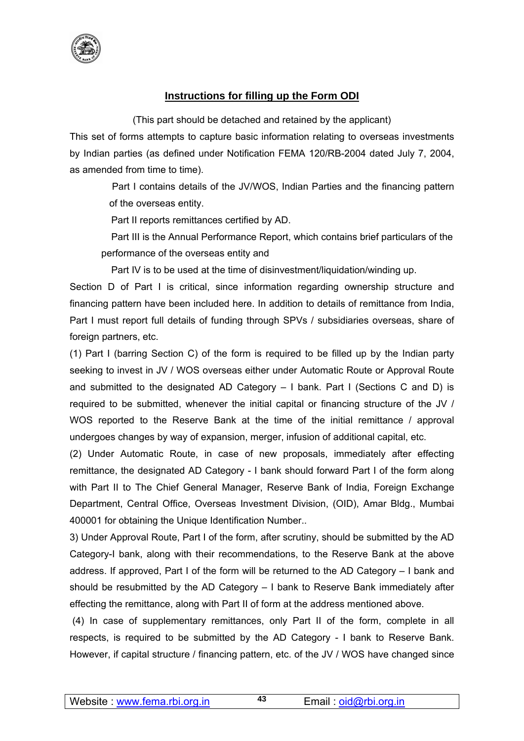

## **Instructions for filling up the Form ODI**

(This part should be detached and retained by the applicant)

This set of forms attempts to capture basic information relating to overseas investments by Indian parties (as defined under Notification FEMA 120/RB-2004 dated July 7, 2004, as amended from time to time).

> Part I contains details of the JV/WOS, Indian Parties and the financing pattern of the overseas entity.

Part II reports remittances certified by AD.

 Part III is the Annual Performance Report, which contains brief particulars of the performance of the overseas entity and

Part IV is to be used at the time of disinvestment/liquidation/winding up.

Section D of Part I is critical, since information regarding ownership structure and financing pattern have been included here. In addition to details of remittance from India, Part I must report full details of funding through SPVs / subsidiaries overseas, share of foreign partners, etc.

(1) Part I (barring Section C) of the form is required to be filled up by the Indian party seeking to invest in JV / WOS overseas either under Automatic Route or Approval Route and submitted to the designated AD Category – I bank. Part I (Sections C and D) is required to be submitted, whenever the initial capital or financing structure of the JV / WOS reported to the Reserve Bank at the time of the initial remittance / approval undergoes changes by way of expansion, merger, infusion of additional capital, etc.

(2) Under Automatic Route, in case of new proposals, immediately after effecting remittance, the designated AD Category - I bank should forward Part I of the form along with Part II to The Chief General Manager, Reserve Bank of India, Foreign Exchange Department, Central Office, Overseas Investment Division, (OID), Amar Bldg., Mumbai 400001 for obtaining the Unique Identification Number..

3) Under Approval Route, Part I of the form, after scrutiny, should be submitted by the AD Category-I bank, along with their recommendations, to the Reserve Bank at the above address. If approved, Part I of the form will be returned to the AD Category – I bank and should be resubmitted by the AD Category – I bank to Reserve Bank immediately after effecting the remittance, along with Part II of form at the address mentioned above.

 (4) In case of supplementary remittances, only Part II of the form, complete in all respects, is required to be submitted by the AD Category - I bank to Reserve Bank. However, if capital structure / financing pattern, etc. of the JV / WOS have changed since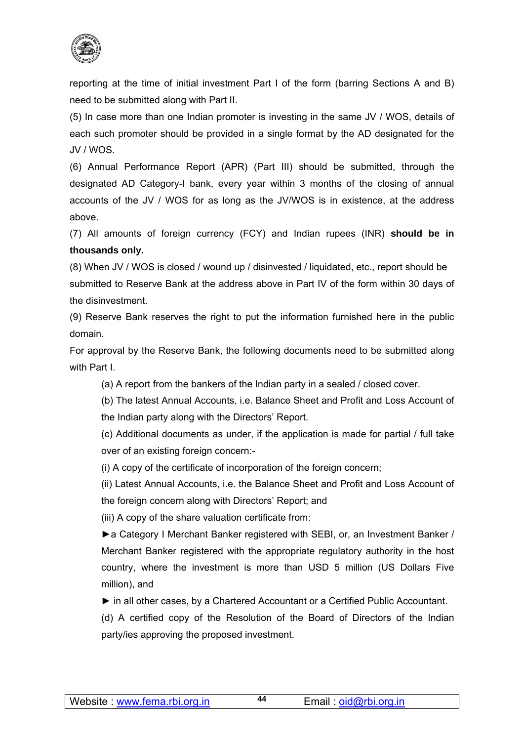

reporting at the time of initial investment Part I of the form (barring Sections A and B) need to be submitted along with Part II.

(5) In case more than one Indian promoter is investing in the same JV / WOS, details of each such promoter should be provided in a single format by the AD designated for the JV / WOS.

(6) Annual Performance Report (APR) (Part III) should be submitted, through the designated AD Category-I bank, every year within 3 months of the closing of annual accounts of the JV / WOS for as long as the JV/WOS is in existence, at the address above.

(7) All amounts of foreign currency (FCY) and Indian rupees (INR) **should be in thousands only.** 

(8) When JV / WOS is closed / wound up / disinvested / liquidated, etc., report should be submitted to Reserve Bank at the address above in Part IV of the form within 30 days of the disinvestment.

(9) Reserve Bank reserves the right to put the information furnished here in the public domain.

For approval by the Reserve Bank, the following documents need to be submitted along with Part I.

(a) A report from the bankers of the Indian party in a sealed / closed cover.

(b) The latest Annual Accounts, i.e. Balance Sheet and Profit and Loss Account of the Indian party along with the Directors' Report.

(c) Additional documents as under, if the application is made for partial / full take over of an existing foreign concern:-

(i) A copy of the certificate of incorporation of the foreign concern;

(ii) Latest Annual Accounts, i.e. the Balance Sheet and Profit and Loss Account of the foreign concern along with Directors' Report; and

(iii) A copy of the share valuation certificate from:

►a Category I Merchant Banker registered with SEBI, or, an Investment Banker / Merchant Banker registered with the appropriate regulatory authority in the host country, where the investment is more than USD 5 million (US Dollars Five million), and

*►* in all other cases, by a Chartered Accountant or a Certified Public Accountant.

(d) A certified copy of the Resolution of the Board of Directors of the Indian party/ies approving the proposed investment.